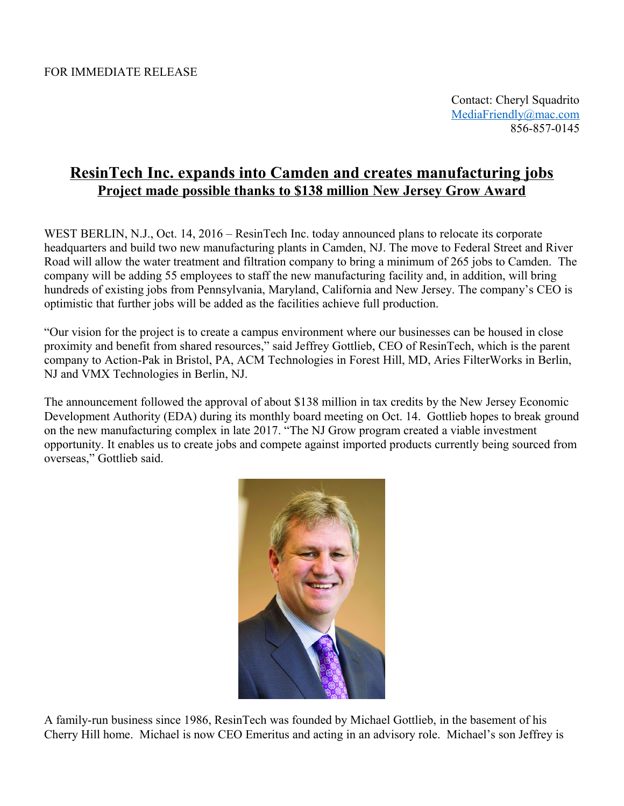Contact: Cheryl Squadrito [MediaFriendly@mac.com](mailto:MediaFriendly@mac.com) 856-857-0145

## **ResinTech Inc. expands into Camden and creates manufacturing jobs Project made possible thanks to \$138 million New Jersey Grow Award**

WEST BERLIN, N.J., Oct. 14, 2016 – ResinTech Inc. today announced plans to relocate its corporate headquarters and build two new manufacturing plants in Camden, NJ. The move to Federal Street and River Road will allow the water treatment and filtration company to bring a minimum of 265 jobs to Camden. The company will be adding 55 employees to staff the new manufacturing facility and, in addition, will bring hundreds of existing jobs from Pennsylvania, Maryland, California and New Jersey. The company's CEO is optimistic that further jobs will be added as the facilities achieve full production.

"Our vision for the project is to create a campus environment where our businesses can be housed in close proximity and benefit from shared resources," said Jeffrey Gottlieb, CEO of ResinTech, which is the parent company to Action-Pak in Bristol, PA, ACM Technologies in Forest Hill, MD, Aries FilterWorks in Berlin, NJ and VMX Technologies in Berlin, NJ.

The announcement followed the approval of about \$138 million in tax credits by the New Jersey Economic Development Authority (EDA) during its monthly board meeting on Oct. 14. Gottlieb hopes to break ground on the new manufacturing complex in late 2017. "The NJ Grow program created a viable investment opportunity. It enables us to create jobs and compete against imported products currently being sourced from overseas," Gottlieb said.



A family-run business since 1986, ResinTech was founded by Michael Gottlieb, in the basement of his Cherry Hill home. Michael is now CEO Emeritus and acting in an advisory role. Michael's son Jeffrey is